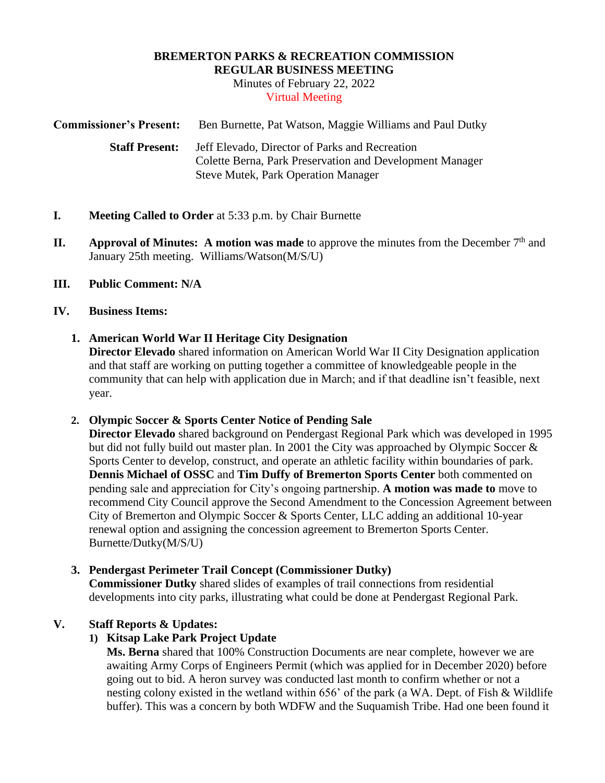# **BREMERTON PARKS & RECREATION COMMISSION**

**REGULAR BUSINESS MEETING**

Minutes of February 22, 2022 Virtual Meeting

**Commissioner's Present:** Ben Burnette, Pat Watson, Maggie Williams and Paul Dutky  **Staff Present:** Jeff Elevado, Director of Parks and Recreation Colette Berna, Park Preservation and Development Manager Steve Mutek, Park Operation Manager

- **I. Meeting Called to Order** at 5:33 p.m. by Chair Burnette
- **II. Approval of Minutes:** A motion was made to approve the minutes from the December  $7<sup>th</sup>$  and January 25th meeting. Williams/Watson(M/S/U)
- **III. Public Comment: N/A**

#### **IV. Business Items:**

#### **1. American World War II Heritage City Designation**

**Director Elevado** shared information on American World War II City Designation application and that staff are working on putting together a committee of knowledgeable people in the community that can help with application due in March; and if that deadline isn't feasible, next year.

#### **2. Olympic Soccer & Sports Center Notice of Pending Sale**

**Director Elevado** shared background on Pendergast Regional Park which was developed in 1995 but did not fully build out master plan. In 2001 the City was approached by Olympic Soccer & Sports Center to develop, construct, and operate an athletic facility within boundaries of park. **Dennis Michael of OSSC** and **Tim Duffy of Bremerton Sports Center** both commented on pending sale and appreciation for City's ongoing partnership. **A motion was made to** move to recommend City Council approve the Second Amendment to the Concession Agreement between City of Bremerton and Olympic Soccer & Sports Center, LLC adding an additional 10-year renewal option and assigning the concession agreement to Bremerton Sports Center. Burnette/Dutky(M/S/U)

#### **3. Pendergast Perimeter Trail Concept (Commissioner Dutky)**

**Commissioner Dutky** shared slides of examples of trail connections from residential developments into city parks, illustrating what could be done at Pendergast Regional Park.

### **V. Staff Reports & Updates:**

### **1) Kitsap Lake Park Project Update**

**Ms. Berna** shared that 100% Construction Documents are near complete, however we are awaiting Army Corps of Engineers Permit (which was applied for in December 2020) before going out to bid. A heron survey was conducted last month to confirm whether or not a nesting colony existed in the wetland within 656' of the park (a WA. Dept. of Fish & Wildlife buffer). This was a concern by both WDFW and the Suquamish Tribe. Had one been found it